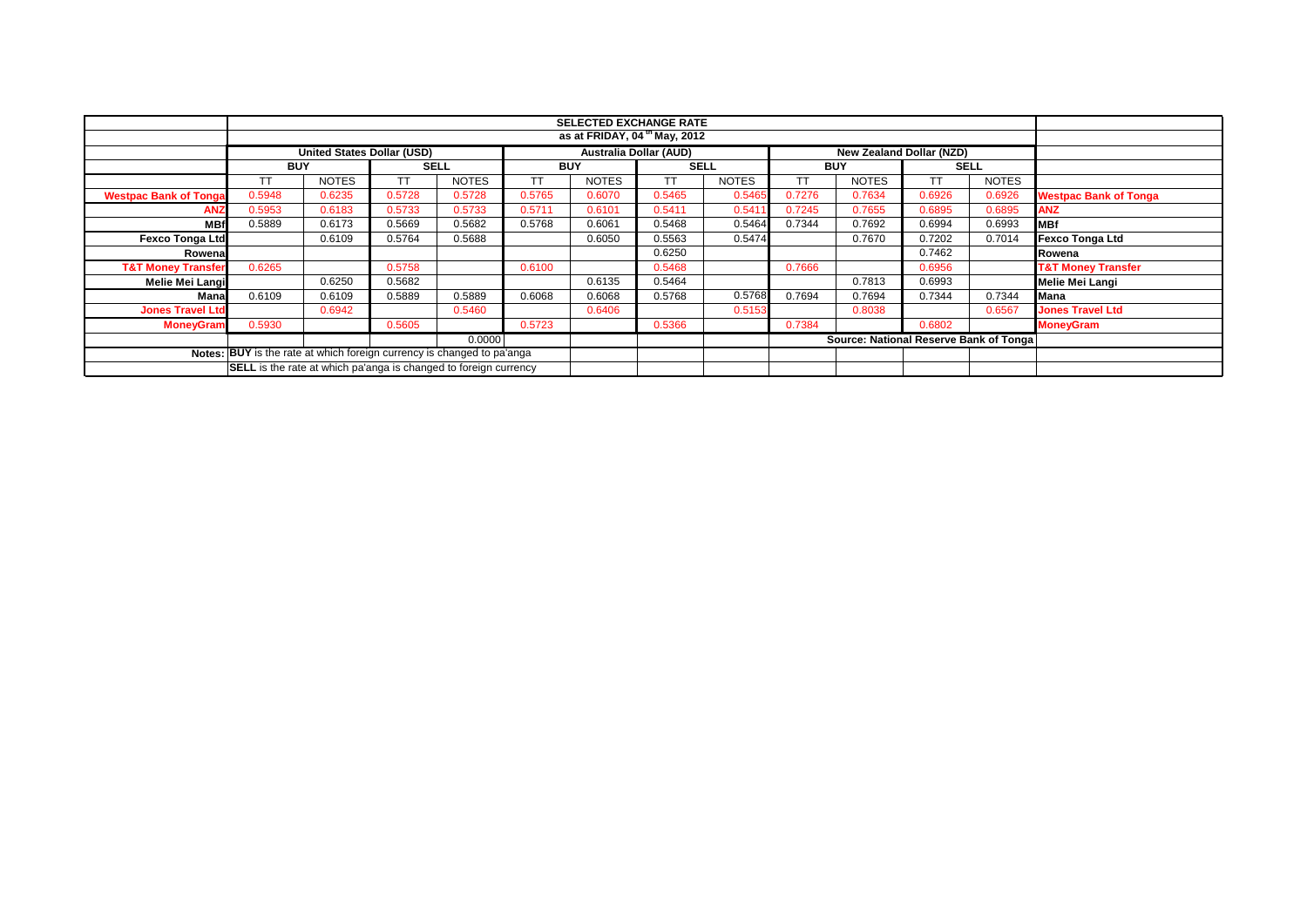|                                                                         |                                                                                                |              |             |              |            | <b>SELECTED EXCHANGE RATE</b><br>as at FRIDAY, 04 <sup>th</sup> May, 2012 |             |              |            |                                        |        |              |                               |
|-------------------------------------------------------------------------|------------------------------------------------------------------------------------------------|--------------|-------------|--------------|------------|---------------------------------------------------------------------------|-------------|--------------|------------|----------------------------------------|--------|--------------|-------------------------------|
|                                                                         |                                                                                                |              |             |              |            |                                                                           |             |              |            |                                        |        |              |                               |
|                                                                         | <b>Australia Dollar (AUD)</b><br><b>United States Dollar (USD)</b><br>New Zealand Dollar (NZD) |              |             |              |            |                                                                           |             |              |            |                                        |        |              |                               |
|                                                                         | <b>BUY</b>                                                                                     |              | <b>SELL</b> |              | <b>BUY</b> |                                                                           | <b>SELL</b> |              | <b>BUY</b> |                                        |        | <b>SELL</b>  |                               |
|                                                                         |                                                                                                | <b>NOTES</b> | TΤ          | <b>NOTES</b> | TΤ         | <b>NOTES</b>                                                              | TΤ          | <b>NOTES</b> | ТT         | <b>NOTES</b>                           | ТT     | <b>NOTES</b> |                               |
| <b>Westpac Bank of Tonga</b>                                            | 0.5948                                                                                         | 0.6235       | 0.5728      | 0.5728       | 0.5765     | 0.6070                                                                    | 0.5465      | 0.5465       | 0.7276     | 0.7634                                 | 0.6926 | 0.6926       | <b>Westpac Bank of Tonga</b>  |
| <b>ANZ</b>                                                              | 0.5953                                                                                         | 0.6183       | 0.5733      | 0.5733       | 0.5711     | 0.6101                                                                    | 0.5411      | 0.541        | 0.7245     | 0.7655                                 | 0.6895 | 0.6895       | <b>ANZ</b>                    |
| <b>MB</b>                                                               | 0.5889                                                                                         | 0.6173       | 0.5669      | 0.5682       | 0.5768     | 0.6061                                                                    | 0.5468      | 0.5464       | 0.7344     | 0.7692                                 | 0.6994 | 0.6993       | <b>IMBf</b>                   |
| <b>Fexco Tonga Ltd</b>                                                  |                                                                                                | 0.6109       | 0.5764      | 0.5688       |            | 0.6050                                                                    | 0.5563      | 0.5474       |            | 0.7670                                 | 0.7202 | 0.7014       | <b>Fexco Tonga Ltd</b>        |
| Rowena                                                                  |                                                                                                |              |             |              |            |                                                                           | 0.6250      |              |            |                                        | 0.7462 |              | Rowena                        |
| <b>T&amp;T Money Transfer</b>                                           | 0.6265                                                                                         |              | 0.5758      |              | 0.6100     |                                                                           | 0.5468      |              | 0.7666     |                                        | 0.6956 |              | <b>T&amp;T Money Transfer</b> |
| <b>Melie Mei Langi</b>                                                  |                                                                                                | 0.6250       | 0.5682      |              |            | 0.6135                                                                    | 0.5464      |              |            | 0.7813                                 | 0.6993 |              | Melie Mei Langi               |
| Mana                                                                    | 0.6109                                                                                         | 0.6109       | 0.5889      | 0.5889       | 0.6068     | 0.6068                                                                    | 0.5768      | 0.5768       | 0.7694     | 0.7694                                 | 0.7344 | 0.7344       | Mana                          |
| <b>Jones Travel Ltd</b>                                                 |                                                                                                | 0.6942       |             | 0.5460       |            | 0.6406                                                                    |             | 0.5153       |            | 0.8038                                 |        | 0.6567       | <b>Jones Travel Ltd</b>       |
| <b>MoneyGram</b>                                                        | 0.5930                                                                                         |              | 0.5605      |              | 0.5723     |                                                                           | 0.5366      |              | 0.7384     |                                        | 0.6802 |              | <b>MoneyGram</b>              |
|                                                                         |                                                                                                |              |             | 0.0000       |            |                                                                           |             |              |            | Source: National Reserve Bank of Tonga |        |              |                               |
| Notes: BUY is the rate at which foreign currency is changed to pa'anga  |                                                                                                |              |             |              |            |                                                                           |             |              |            |                                        |        |              |                               |
| <b>SELL</b> is the rate at which pa'anga is changed to foreign currency |                                                                                                |              |             |              |            |                                                                           |             |              |            |                                        |        |              |                               |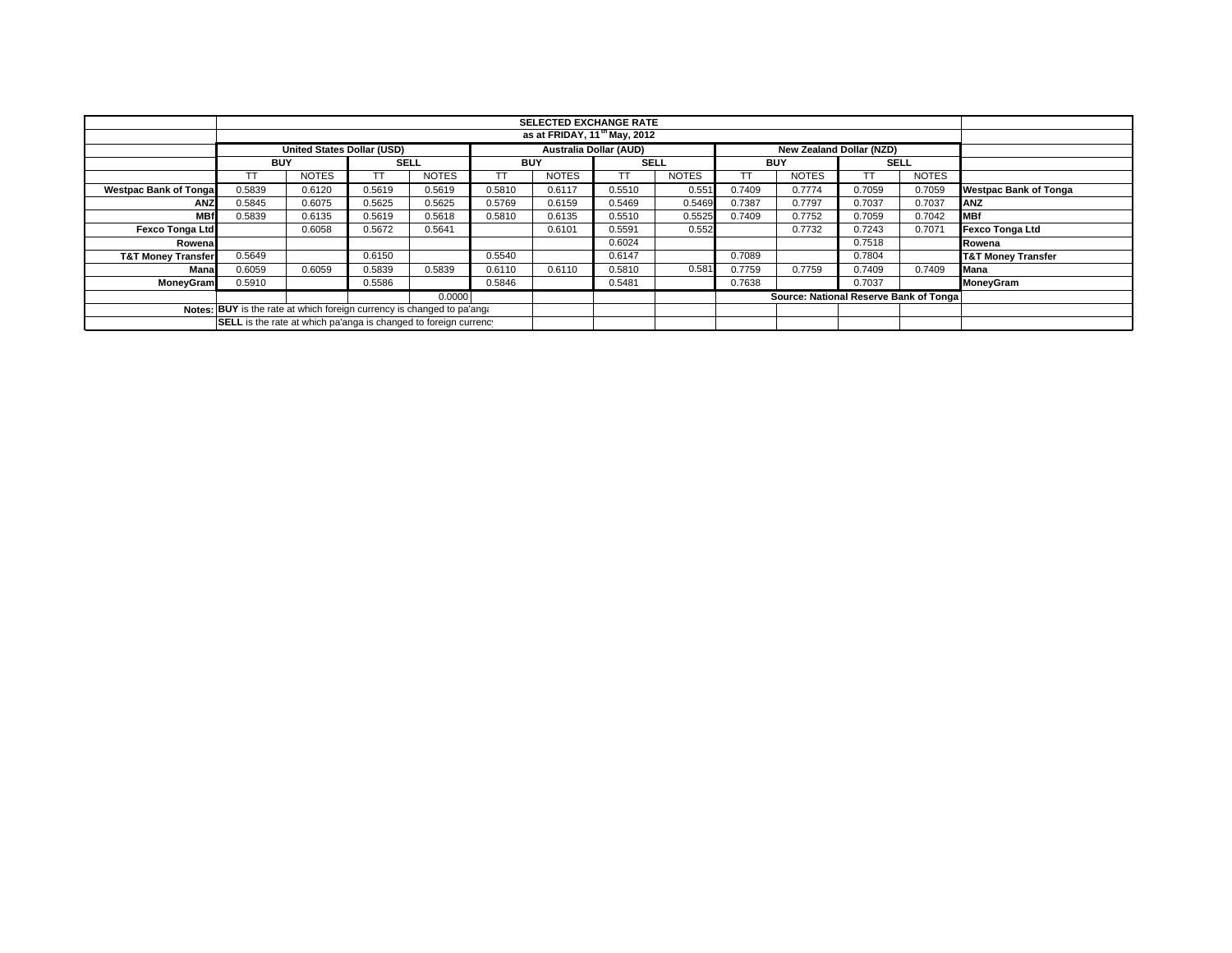|                                                                        |                                                                  |                                   |        |              |            | <b>SELECTED EXCHANGE RATE</b><br>as at FRIDAY, 11 <sup>th</sup> May, 2012 |             |              |            |                                        |             |              |                               |
|------------------------------------------------------------------------|------------------------------------------------------------------|-----------------------------------|--------|--------------|------------|---------------------------------------------------------------------------|-------------|--------------|------------|----------------------------------------|-------------|--------------|-------------------------------|
|                                                                        |                                                                  |                                   |        |              |            |                                                                           |             |              |            |                                        |             |              |                               |
|                                                                        |                                                                  | <b>United States Dollar (USD)</b> |        |              |            | <b>Australia Dollar (AUD)</b>                                             |             |              |            | New Zealand Dollar (NZD)               |             |              |                               |
|                                                                        | <b>BUY</b>                                                       |                                   |        | <b>SELL</b>  | <b>BUY</b> |                                                                           | <b>SELL</b> |              | <b>BUY</b> |                                        | <b>SELL</b> |              |                               |
|                                                                        |                                                                  | <b>NOTES</b>                      |        | <b>NOTES</b> |            | <b>NOTES</b>                                                              |             | <b>NOTES</b> | TT         | <b>NOTES</b>                           |             | <b>NOTES</b> |                               |
| <b>Westpac Bank of Tonga</b>                                           | 0.5839                                                           | 0.6120                            | 0.5619 | 0.5619       | 0.5810     | 0.6117                                                                    | 0.5510      | 0.551        | 0.7409     | 0.7774                                 | 0.7059      | 0.7059       | <b>Westpac Bank of Tonga</b>  |
| ANZ                                                                    | 0.5845                                                           | 0.6075                            | 0.5625 | 0.5625       | 0.5769     | 0.6159                                                                    | 0.5469      | 0.5469       | 0.7387     | 0.7797                                 | 0.7037      | 0.7037       | <b>ANZ</b>                    |
| <b>MBf</b>                                                             | 0.5839                                                           | 0.6135                            | 0.5619 | 0.5618       | 0.5810     | 0.6135                                                                    | 0.5510      | 0.5525       | 0.7409     | 0.7752                                 | 0.7059      | 0.7042       | <b>IMBf</b>                   |
| <b>Fexco Tonga Ltd</b>                                                 |                                                                  | 0.6058                            | 0.5672 | 0.5641       |            | 0.6101                                                                    | 0.5591      | 0.552        |            | 0.7732                                 | 0.7243      | 0.7071       | <b>Fexco Tonga Ltd</b>        |
| Rowena                                                                 |                                                                  |                                   |        |              |            |                                                                           | 0.6024      |              |            |                                        | 0.7518      |              | Rowena                        |
| <b>T&amp;T Money Transfer</b>                                          | 0.5649                                                           |                                   | 0.6150 |              | 0.5540     |                                                                           | 0.6147      |              | 0.7089     |                                        | 0.7804      |              | <b>T&amp;T Money Transfer</b> |
| Mana                                                                   | 0.6059                                                           | 0.6059                            | 0.5839 | 0.5839       | 0.6110     | 0.6110                                                                    | 0.5810      | 0.581        | 0.7759     | 0.7759                                 | 0.7409      | 0.7409       | <b>Mana</b>                   |
| <b>MoneyGram</b>                                                       | 0.5910                                                           |                                   | 0.5586 |              | 0.5846     |                                                                           | 0.5481      |              | 0.7638     |                                        | 0.7037      |              | MoneyGram                     |
|                                                                        |                                                                  |                                   |        | 0.0000       |            |                                                                           |             |              |            | Source: National Reserve Bank of Tonga |             |              |                               |
| Notes: BUY is the rate at which foreign currency is changed to pa'ang. |                                                                  |                                   |        |              |            |                                                                           |             |              |            |                                        |             |              |                               |
|                                                                        | SELL is the rate at which pa'anga is changed to foreign currency |                                   |        |              |            |                                                                           |             |              |            |                                        |             |              |                               |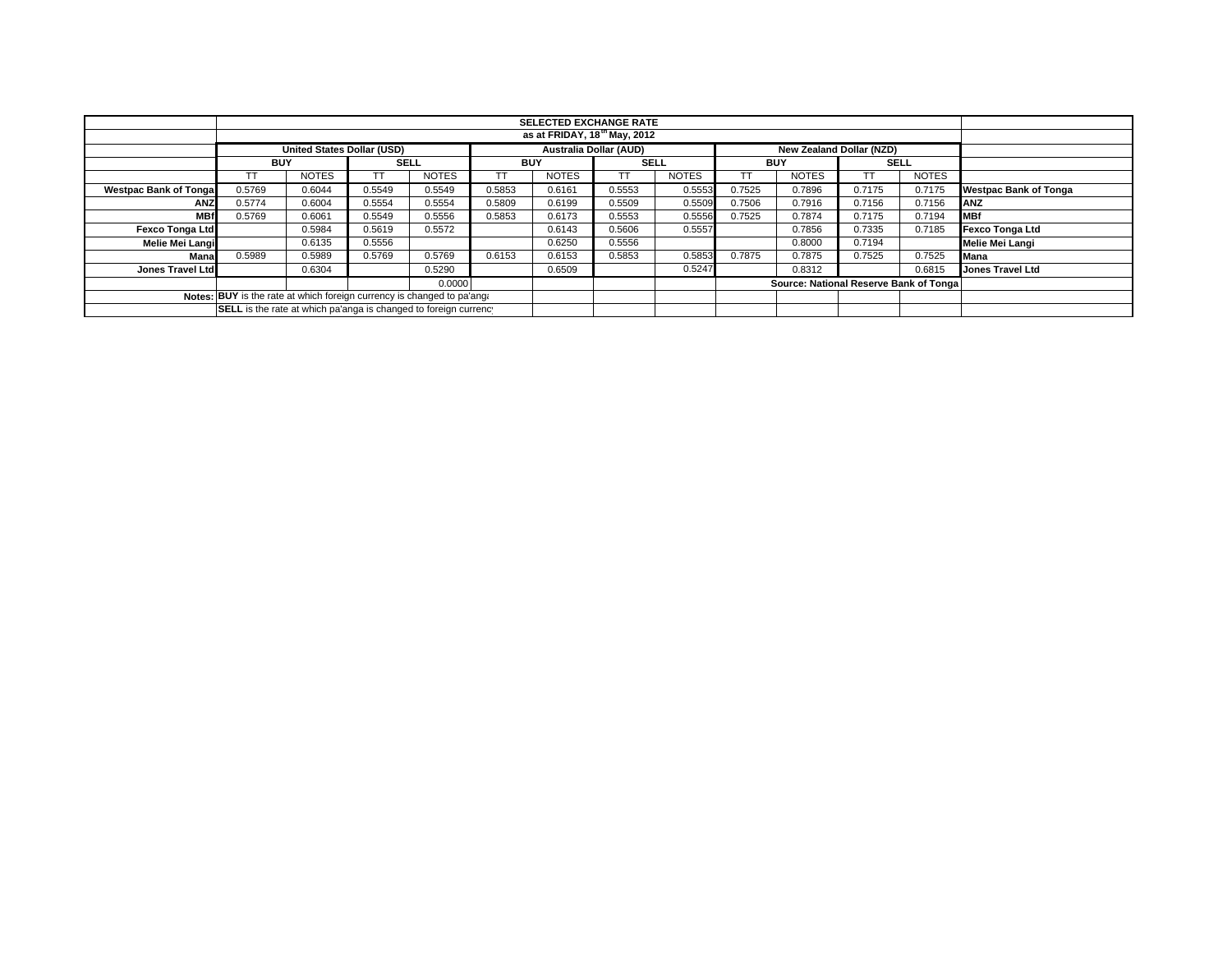|                                                                        |                                                                                                       |              |             |              |            | <b>SELECTED EXCHANGE RATE</b> |             |              |            |              |                                        |              |                              |
|------------------------------------------------------------------------|-------------------------------------------------------------------------------------------------------|--------------|-------------|--------------|------------|-------------------------------|-------------|--------------|------------|--------------|----------------------------------------|--------------|------------------------------|
|                                                                        |                                                                                                       |              |             |              |            |                               |             |              |            |              |                                        |              |                              |
|                                                                        | <b>Australia Dollar (AUD)</b><br><b>United States Dollar (USD)</b><br><b>New Zealand Dollar (NZD)</b> |              |             |              |            |                               |             |              |            |              |                                        |              |                              |
|                                                                        | <b>BUY</b>                                                                                            |              | <b>SELL</b> |              | <b>BUY</b> |                               | <b>SELL</b> |              | <b>BUY</b> |              | <b>SELL</b>                            |              |                              |
|                                                                        |                                                                                                       | <b>NOTES</b> |             | <b>NOTES</b> |            | <b>NOTES</b>                  | тт          | <b>NOTES</b> | ГT         | <b>NOTES</b> |                                        | <b>NOTES</b> |                              |
| <b>Westpac Bank of Tonga</b>                                           | 0.5769                                                                                                | 0.6044       | 0.5549      | 0.5549       | 0.5853     | 0.6161                        | 0.5553      | 0.5553       | 0.7525     | 0.7896       | 0.7175                                 | 0.7175       | <b>Westpac Bank of Tonga</b> |
| <b>ANZ</b>                                                             | 0.5774                                                                                                | 0.6004       | 0.5554      | 0.5554       | 0.5809     | 0.6199                        | 0.5509      | 0.5509       | 0.7506     | 0.7916       | 0.7156                                 | 0.7156       | <b>IANZ</b>                  |
| <b>MBf</b>                                                             | 0.5769                                                                                                | 0.6061       | 0.5549      | 0.5556       | 0.5853     | 0.6173                        | 0.5553      | 0.5556       | 0.7525     | 0.7874       | 0.7175                                 | 0.7194       | <b>MBf</b>                   |
| <b>Fexco Tonga Ltd</b>                                                 |                                                                                                       | 0.5984       | 0.5619      | 0.5572       |            | 0.6143                        | 0.5606      | 0.5557       |            | 0.7856       | 0.7335                                 | 0.7185       | Fexco Tonga Ltd              |
| Melie Mei Langi                                                        |                                                                                                       | 0.6135       | 0.5556      |              |            | 0.6250                        | 0.5556      |              |            | 0.8000       | 0.7194                                 |              | Melie Mei Langi              |
| Mana                                                                   | 0.5989                                                                                                | 0.5989       | 0.5769      | 0.5769       | 0.6153     | 0.6153                        | 0.5853      | 0.5853       | 0.7875     | 0.7875       | 0.7525                                 | 0.7525       | Mana                         |
| Jones Travel Ltd                                                       |                                                                                                       | 0.6304       |             | 0.5290       |            | 0.6509                        |             | 0.5247       |            | 0.8312       |                                        | 0.6815       | <b>Jones Travel Ltd</b>      |
|                                                                        |                                                                                                       |              |             | 0.0000       |            |                               |             |              |            |              | Source: National Reserve Bank of Tonga |              |                              |
| Notes: BUY is the rate at which foreign currency is changed to pa'ang. |                                                                                                       |              |             |              |            |                               |             |              |            |              |                                        |              |                              |
|                                                                        | SELL is the rate at which pa'anga is changed to foreign currency                                      |              |             |              |            |                               |             |              |            |              |                                        |              |                              |